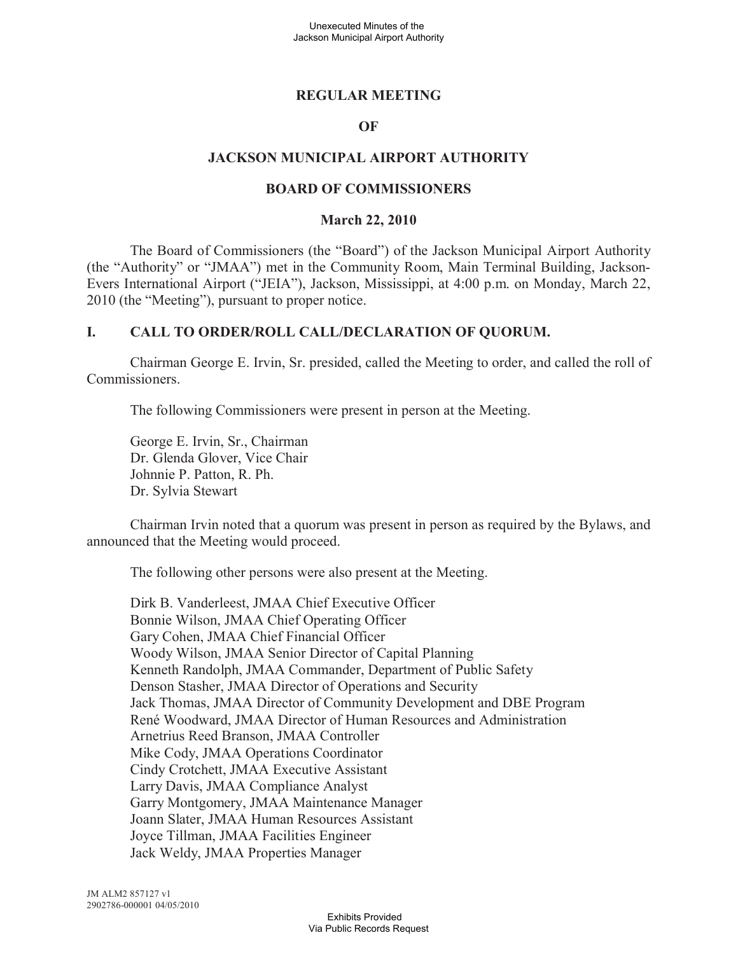# **REGULAR MEETING**

## **OF**

## **JACKSON MUNICIPAL AIRPORT AUTHORITY**

#### **BOARD OF COMMISSIONERS**

#### **March 22, 2010**

The Board of Commissioners (the "Board") of the Jackson Municipal Airport Authority (the "Authority" or "JMAA") met in the Community Room, Main Terminal Building, Jackson-Evers International Airport ("JEIA"), Jackson, Mississippi, at 4:00 p.m. on Monday, March 22, 2010 (the "Meeting"), pursuant to proper notice.

#### **I. CALL TO ORDER/ROLL CALL/DECLARATION OF QUORUM.**

Chairman George E. Irvin, Sr. presided, called the Meeting to order, and called the roll of Commissioners.

The following Commissioners were present in person at the Meeting.

George E. Irvin, Sr., Chairman Dr. Glenda Glover, Vice Chair Johnnie P. Patton, R. Ph. Dr. Sylvia Stewart

Chairman Irvin noted that a quorum was present in person as required by the Bylaws, and announced that the Meeting would proceed.

The following other persons were also present at the Meeting.

Dirk B. Vanderleest, JMAA Chief Executive Officer Bonnie Wilson, JMAA Chief Operating Officer Gary Cohen, JMAA Chief Financial Officer Woody Wilson, JMAA Senior Director of Capital Planning Kenneth Randolph, JMAA Commander, Department of Public Safety Denson Stasher, JMAA Director of Operations and Security Jack Thomas, JMAA Director of Community Development and DBE Program René Woodward, JMAA Director of Human Resources and Administration Arnetrius Reed Branson, JMAA Controller Mike Cody, JMAA Operations Coordinator Cindy Crotchett, JMAA Executive Assistant Larry Davis, JMAA Compliance Analyst Garry Montgomery, JMAA Maintenance Manager Joann Slater, JMAA Human Resources Assistant Joyce Tillman, JMAA Facilities Engineer Jack Weldy, JMAA Properties Manager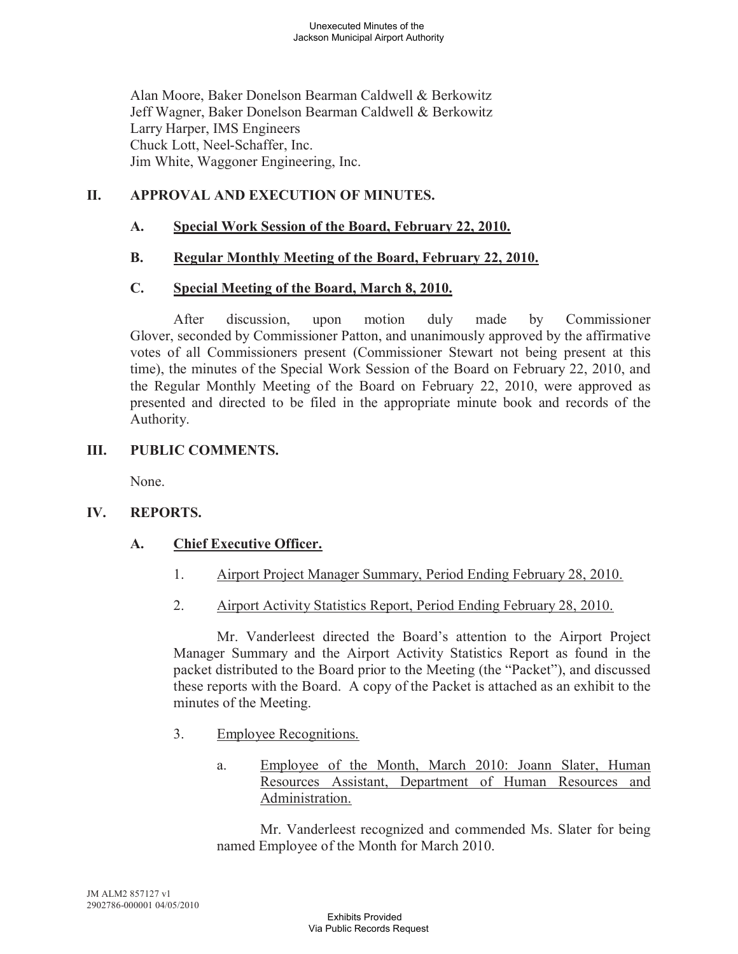Alan Moore, Baker Donelson Bearman Caldwell & Berkowitz Jeff Wagner, Baker Donelson Bearman Caldwell & Berkowitz Larry Harper, IMS Engineers Chuck Lott, Neel-Schaffer, Inc. Jim White, Waggoner Engineering, Inc.

# **II. APPROVAL AND EXECUTION OF MINUTES.**

## **A. Special Work Session of the Board, February 22, 2010.**

#### **B. Regular Monthly Meeting of the Board, February 22, 2010.**

# **C. Special Meeting of the Board, March 8, 2010.**

After discussion, upon motion duly made by Commissioner Glover, seconded by Commissioner Patton, and unanimously approved by the affirmative votes of all Commissioners present (Commissioner Stewart not being present at this time), the minutes of the Special Work Session of the Board on February 22, 2010, and the Regular Monthly Meeting of the Board on February 22, 2010, were approved as presented and directed to be filed in the appropriate minute book and records of the Authority.

# **III. PUBLIC COMMENTS.**

None.

# **IV. REPORTS.**

# **A. Chief Executive Officer.**

- 1. Airport Project Manager Summary, Period Ending February 28, 2010.
- 2. Airport Activity Statistics Report, Period Ending February 28, 2010.

Mr. Vanderleest directed the Board's attention to the Airport Project Manager Summary and the Airport Activity Statistics Report as found in the packet distributed to the Board prior to the Meeting (the "Packet"), and discussed these reports with the Board. A copy of the Packet is attached as an exhibit to the minutes of the Meeting.

- 3. Employee Recognitions.
	- a. Employee of the Month, March 2010: Joann Slater, Human Resources Assistant, Department of Human Resources and Administration.

Mr. Vanderleest recognized and commended Ms. Slater for being named Employee of the Month for March 2010.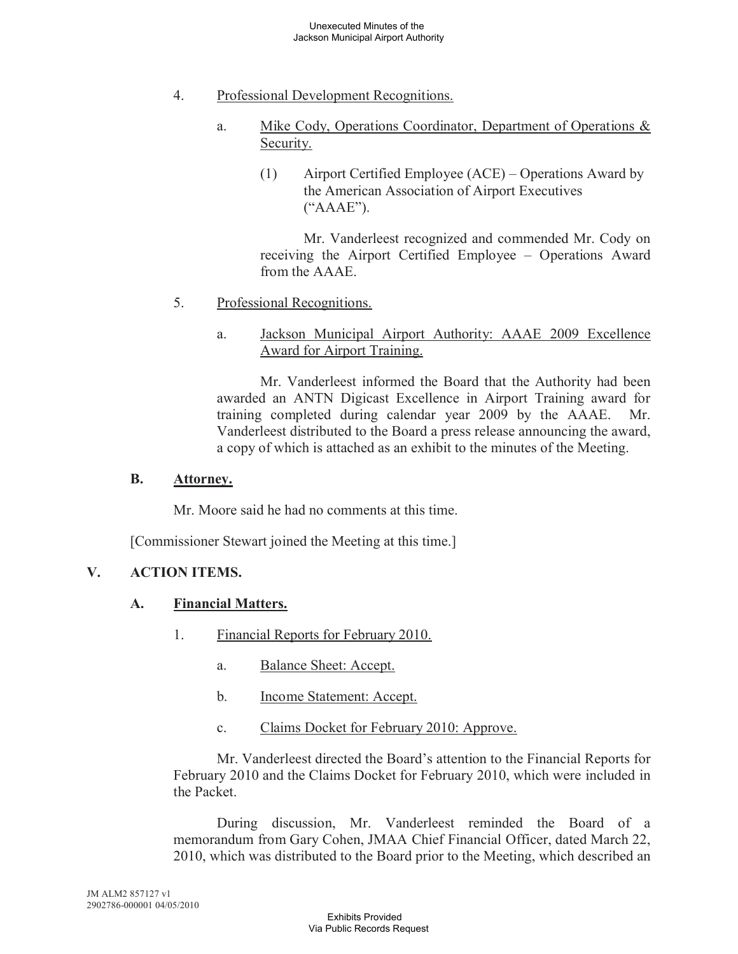- 4. Professional Development Recognitions.
	- a. Mike Cody, Operations Coordinator, Department of Operations & Security.
		- (1) Airport Certified Employee (ACE) Operations Award by the American Association of Airport Executives  $(^{\circ}AAAE$ ").

Mr. Vanderleest recognized and commended Mr. Cody on receiving the Airport Certified Employee – Operations Award from the AAAE.

5. Professional Recognitions.

# a. Jackson Municipal Airport Authority: AAAE 2009 Excellence Award for Airport Training.

Mr. Vanderleest informed the Board that the Authority had been awarded an ANTN Digicast Excellence in Airport Training award for training completed during calendar year 2009 by the AAAE. Mr. Vanderleest distributed to the Board a press release announcing the award, a copy of which is attached as an exhibit to the minutes of the Meeting.

# **B. Attorney.**

Mr. Moore said he had no comments at this time.

[Commissioner Stewart joined the Meeting at this time.]

# **V. ACTION ITEMS.**

# **A. Financial Matters.**

- 1. Financial Reports for February 2010.
	- a. Balance Sheet: Accept.
	- b. Income Statement: Accept.
	- c. Claims Docket for February 2010: Approve.

Mr. Vanderleest directed the Board's attention to the Financial Reports for February 2010 and the Claims Docket for February 2010, which were included in the Packet.

During discussion, Mr. Vanderleest reminded the Board of a memorandum from Gary Cohen, JMAA Chief Financial Officer, dated March 22, 2010, which was distributed to the Board prior to the Meeting, which described an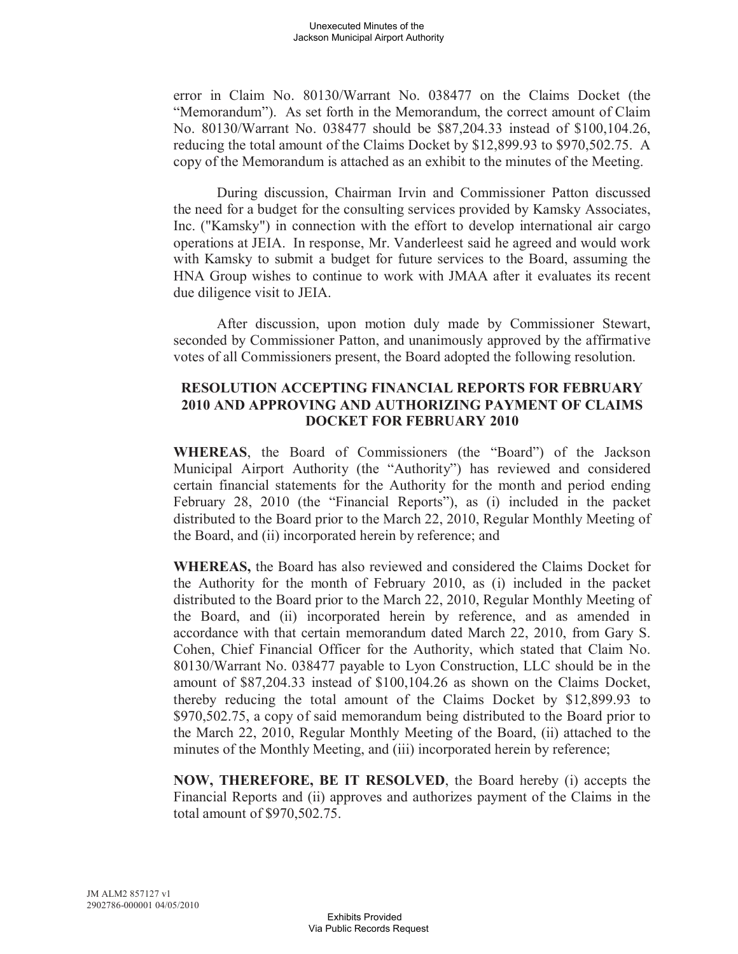error in Claim No. 80130/Warrant No. 038477 on the Claims Docket (the "Memorandum"). As set forth in the Memorandum, the correct amount of Claim No. 80130/Warrant No. 038477 should be \$87,204.33 instead of \$100,104.26, reducing the total amount of the Claims Docket by \$12,899.93 to \$970,502.75. A copy of the Memorandum is attached as an exhibit to the minutes of the Meeting.

During discussion, Chairman Irvin and Commissioner Patton discussed the need for a budget for the consulting services provided by Kamsky Associates, Inc. ("Kamsky") in connection with the effort to develop international air cargo operations at JEIA. In response, Mr. Vanderleest said he agreed and would work with Kamsky to submit a budget for future services to the Board, assuming the HNA Group wishes to continue to work with JMAA after it evaluates its recent due diligence visit to JEIA.

After discussion, upon motion duly made by Commissioner Stewart, seconded by Commissioner Patton, and unanimously approved by the affirmative votes of all Commissioners present, the Board adopted the following resolution.

# **RESOLUTION ACCEPTING FINANCIAL REPORTS FOR FEBRUARY 2010 AND APPROVING AND AUTHORIZING PAYMENT OF CLAIMS DOCKET FOR FEBRUARY 2010**

**WHEREAS**, the Board of Commissioners (the "Board") of the Jackson Municipal Airport Authority (the "Authority") has reviewed and considered certain financial statements for the Authority for the month and period ending February 28, 2010 (the "Financial Reports"), as (i) included in the packet distributed to the Board prior to the March 22, 2010, Regular Monthly Meeting of the Board, and (ii) incorporated herein by reference; and

**WHEREAS,** the Board has also reviewed and considered the Claims Docket for the Authority for the month of February 2010, as (i) included in the packet distributed to the Board prior to the March 22, 2010, Regular Monthly Meeting of the Board, and (ii) incorporated herein by reference, and as amended in accordance with that certain memorandum dated March 22, 2010, from Gary S. Cohen, Chief Financial Officer for the Authority, which stated that Claim No. 80130/Warrant No. 038477 payable to Lyon Construction, LLC should be in the amount of \$87,204.33 instead of \$100,104.26 as shown on the Claims Docket, thereby reducing the total amount of the Claims Docket by \$12,899.93 to \$970,502.75, a copy of said memorandum being distributed to the Board prior to the March 22, 2010, Regular Monthly Meeting of the Board, (ii) attached to the minutes of the Monthly Meeting, and (iii) incorporated herein by reference;

**NOW, THEREFORE, BE IT RESOLVED**, the Board hereby (i) accepts the Financial Reports and (ii) approves and authorizes payment of the Claims in the total amount of \$970,502.75.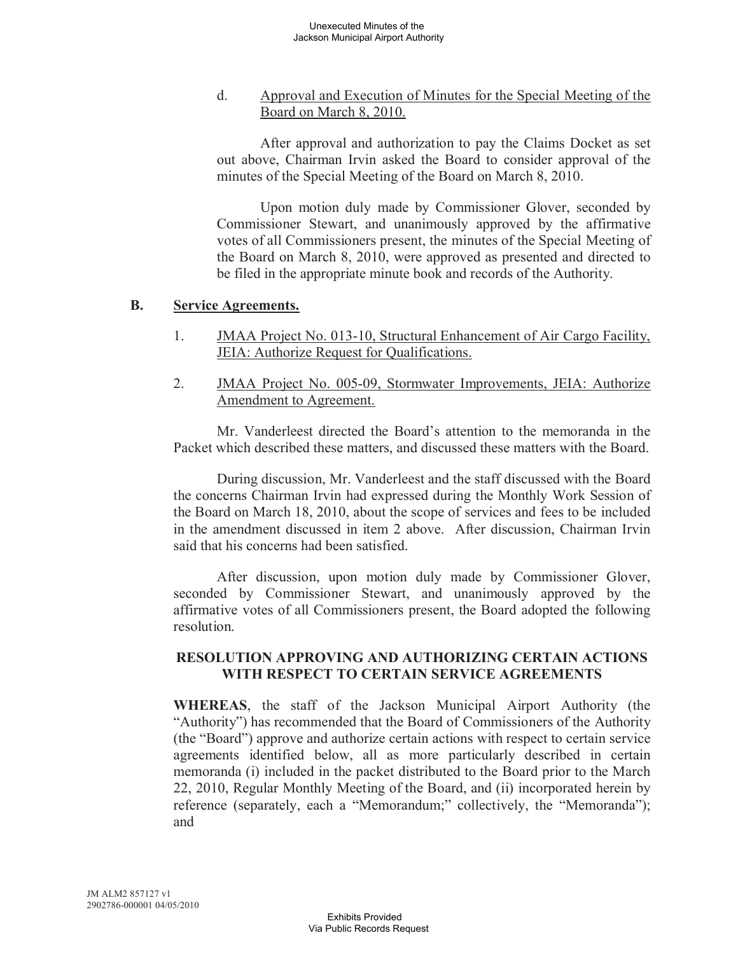## d. Approval and Execution of Minutes for the Special Meeting of the Board on March 8, 2010.

After approval and authorization to pay the Claims Docket as set out above, Chairman Irvin asked the Board to consider approval of the minutes of the Special Meeting of the Board on March 8, 2010.

Upon motion duly made by Commissioner Glover, seconded by Commissioner Stewart, and unanimously approved by the affirmative votes of all Commissioners present, the minutes of the Special Meeting of the Board on March 8, 2010, were approved as presented and directed to be filed in the appropriate minute book and records of the Authority.

#### **B. Service Agreements.**

- 1. JMAA Project No. 013-10, Structural Enhancement of Air Cargo Facility, JEIA: Authorize Request for Qualifications.
- 2. JMAA Project No. 005-09, Stormwater Improvements, JEIA: Authorize Amendment to Agreement.

Mr. Vanderleest directed the Board's attention to the memoranda in the Packet which described these matters, and discussed these matters with the Board.

During discussion, Mr. Vanderleest and the staff discussed with the Board the concerns Chairman Irvin had expressed during the Monthly Work Session of the Board on March 18, 2010, about the scope of services and fees to be included in the amendment discussed in item 2 above. After discussion, Chairman Irvin said that his concerns had been satisfied.

After discussion, upon motion duly made by Commissioner Glover, seconded by Commissioner Stewart, and unanimously approved by the affirmative votes of all Commissioners present, the Board adopted the following resolution.

# **RESOLUTION APPROVING AND AUTHORIZING CERTAIN ACTIONS WITH RESPECT TO CERTAIN SERVICE AGREEMENTS**

**WHEREAS**, the staff of the Jackson Municipal Airport Authority (the "Authority") has recommended that the Board of Commissioners of the Authority (the "Board") approve and authorize certain actions with respect to certain service agreements identified below, all as more particularly described in certain memoranda (i) included in the packet distributed to the Board prior to the March 22, 2010, Regular Monthly Meeting of the Board, and (ii) incorporated herein by reference (separately, each a "Memorandum;" collectively, the "Memoranda"); and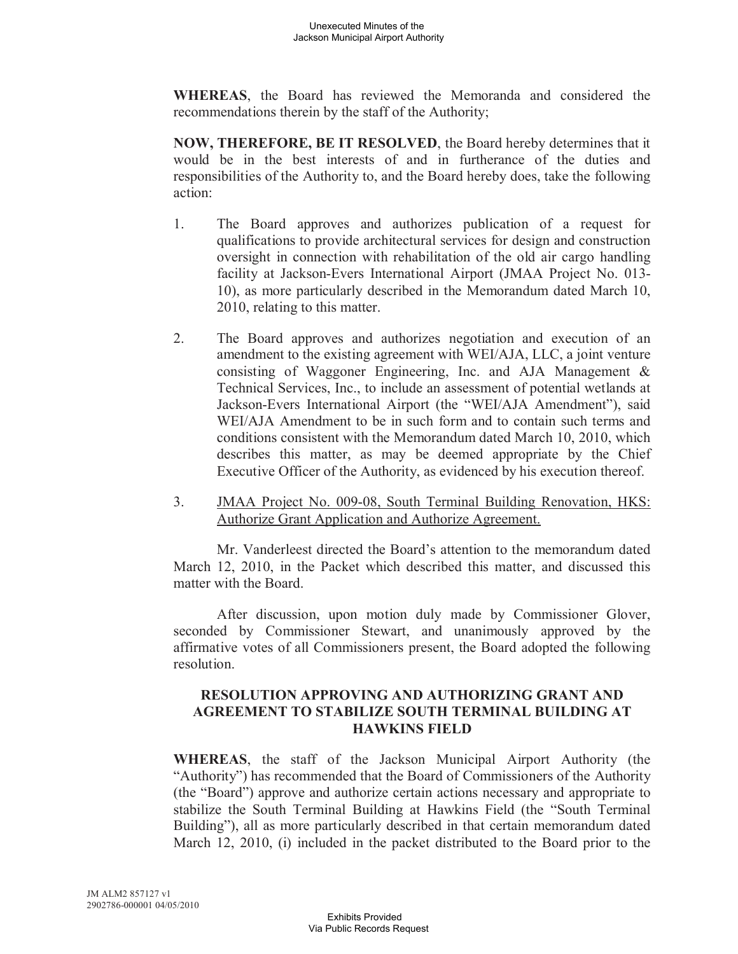**WHEREAS**, the Board has reviewed the Memoranda and considered the recommendations therein by the staff of the Authority;

**NOW, THEREFORE, BE IT RESOLVED**, the Board hereby determines that it would be in the best interests of and in furtherance of the duties and responsibilities of the Authority to, and the Board hereby does, take the following action:

- 1. The Board approves and authorizes publication of a request for qualifications to provide architectural services for design and construction oversight in connection with rehabilitation of the old air cargo handling facility at Jackson-Evers International Airport (JMAA Project No. 013- 10), as more particularly described in the Memorandum dated March 10, 2010, relating to this matter.
- 2. The Board approves and authorizes negotiation and execution of an amendment to the existing agreement with WEI/AJA, LLC, a joint venture consisting of Waggoner Engineering, Inc. and AJA Management & Technical Services, Inc., to include an assessment of potential wetlands at Jackson-Evers International Airport (the "WEI/AJA Amendment"), said WEI/AJA Amendment to be in such form and to contain such terms and conditions consistent with the Memorandum dated March 10, 2010, which describes this matter, as may be deemed appropriate by the Chief Executive Officer of the Authority, as evidenced by his execution thereof.
- 3. JMAA Project No. 009-08, South Terminal Building Renovation, HKS: Authorize Grant Application and Authorize Agreement.

Mr. Vanderleest directed the Board's attention to the memorandum dated March 12, 2010, in the Packet which described this matter, and discussed this matter with the Board.

After discussion, upon motion duly made by Commissioner Glover, seconded by Commissioner Stewart, and unanimously approved by the affirmative votes of all Commissioners present, the Board adopted the following resolution.

#### **RESOLUTION APPROVING AND AUTHORIZING GRANT AND AGREEMENT TO STABILIZE SOUTH TERMINAL BUILDING AT HAWKINS FIELD**

**WHEREAS**, the staff of the Jackson Municipal Airport Authority (the "Authority") has recommended that the Board of Commissioners of the Authority (the "Board") approve and authorize certain actions necessary and appropriate to stabilize the South Terminal Building at Hawkins Field (the "South Terminal Building"), all as more particularly described in that certain memorandum dated March 12, 2010, (i) included in the packet distributed to the Board prior to the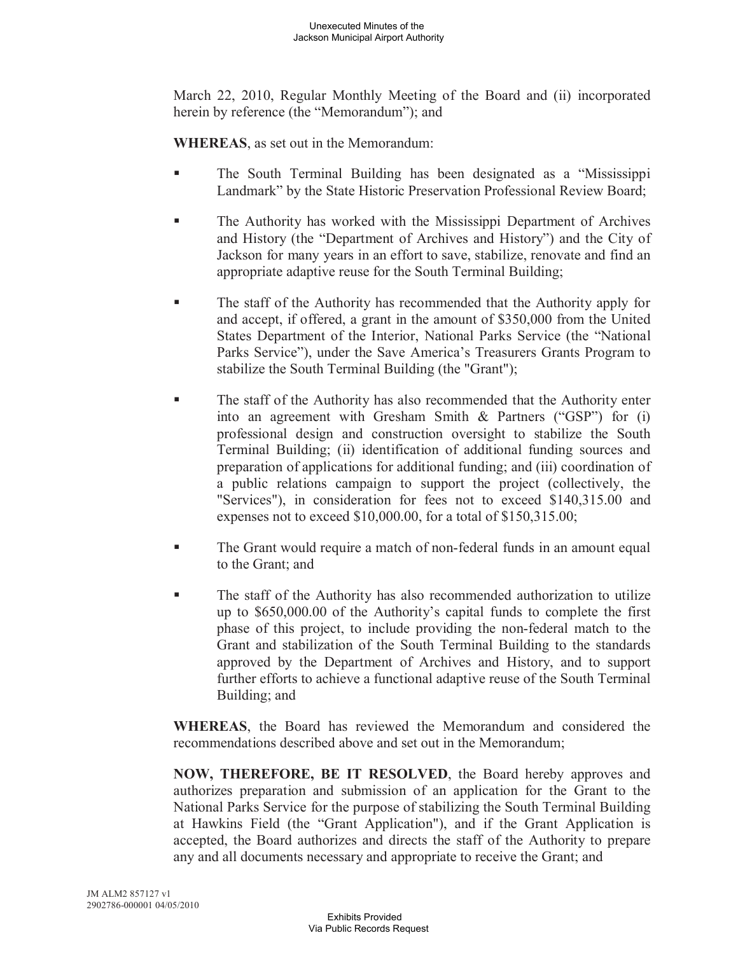March 22, 2010, Regular Monthly Meeting of the Board and (ii) incorporated herein by reference (the "Memorandum"); and

**WHEREAS**, as set out in the Memorandum:

- The South Terminal Building has been designated as a "Mississippi Landmark" by the State Historic Preservation Professional Review Board;
- The Authority has worked with the Mississippi Department of Archives and History (the "Department of Archives and History") and the City of Jackson for many years in an effort to save, stabilize, renovate and find an appropriate adaptive reuse for the South Terminal Building;
- The staff of the Authority has recommended that the Authority apply for and accept, if offered, a grant in the amount of \$350,000 from the United States Department of the Interior, National Parks Service (the "National Parks Service"), under the Save America's Treasurers Grants Program to stabilize the South Terminal Building (the "Grant");
- The staff of the Authority has also recommended that the Authority enter into an agreement with Gresham Smith & Partners ("GSP") for (i) professional design and construction oversight to stabilize the South Terminal Building; (ii) identification of additional funding sources and preparation of applications for additional funding; and (iii) coordination of a public relations campaign to support the project (collectively, the "Services"), in consideration for fees not to exceed \$140,315.00 and expenses not to exceed \$10,000.00, for a total of \$150,315.00;
- The Grant would require a match of non-federal funds in an amount equal to the Grant; and
- The staff of the Authority has also recommended authorization to utilize up to \$650,000.00 of the Authority's capital funds to complete the first phase of this project, to include providing the non-federal match to the Grant and stabilization of the South Terminal Building to the standards approved by the Department of Archives and History, and to support further efforts to achieve a functional adaptive reuse of the South Terminal Building; and

**WHEREAS**, the Board has reviewed the Memorandum and considered the recommendations described above and set out in the Memorandum;

**NOW, THEREFORE, BE IT RESOLVED**, the Board hereby approves and authorizes preparation and submission of an application for the Grant to the National Parks Service for the purpose of stabilizing the South Terminal Building at Hawkins Field (the "Grant Application"), and if the Grant Application is accepted, the Board authorizes and directs the staff of the Authority to prepare any and all documents necessary and appropriate to receive the Grant; and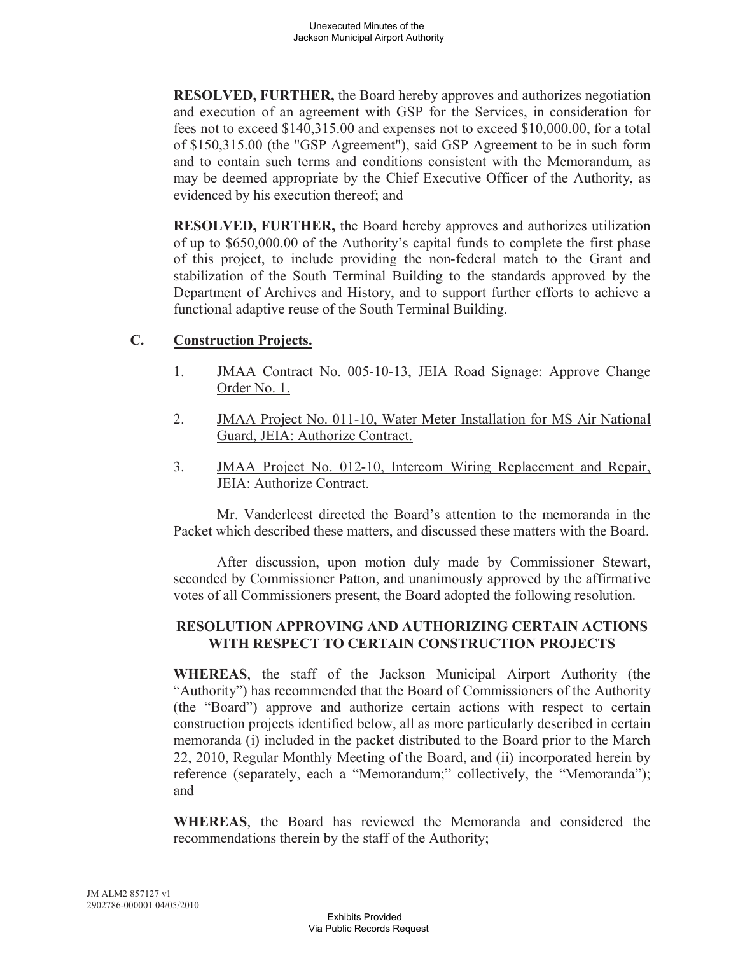**RESOLVED, FURTHER,** the Board hereby approves and authorizes negotiation and execution of an agreement with GSP for the Services, in consideration for fees not to exceed \$140,315.00 and expenses not to exceed \$10,000.00, for a total of \$150,315.00 (the "GSP Agreement"), said GSP Agreement to be in such form and to contain such terms and conditions consistent with the Memorandum, as may be deemed appropriate by the Chief Executive Officer of the Authority, as evidenced by his execution thereof; and

**RESOLVED, FURTHER,** the Board hereby approves and authorizes utilization of up to \$650,000.00 of the Authority's capital funds to complete the first phase of this project, to include providing the non-federal match to the Grant and stabilization of the South Terminal Building to the standards approved by the Department of Archives and History, and to support further efforts to achieve a functional adaptive reuse of the South Terminal Building.

# **C. Construction Projects.**

- 1. JMAA Contract No. 005-10-13, JEIA Road Signage: Approve Change Order No. 1.
- 2. JMAA Project No. 011-10, Water Meter Installation for MS Air National Guard, JEIA: Authorize Contract.
- 3. JMAA Project No. 012-10, Intercom Wiring Replacement and Repair, JEIA: Authorize Contract.

Mr. Vanderleest directed the Board's attention to the memoranda in the Packet which described these matters, and discussed these matters with the Board.

After discussion, upon motion duly made by Commissioner Stewart, seconded by Commissioner Patton, and unanimously approved by the affirmative votes of all Commissioners present, the Board adopted the following resolution.

# **RESOLUTION APPROVING AND AUTHORIZING CERTAIN ACTIONS WITH RESPECT TO CERTAIN CONSTRUCTION PROJECTS**

**WHEREAS**, the staff of the Jackson Municipal Airport Authority (the "Authority") has recommended that the Board of Commissioners of the Authority (the "Board") approve and authorize certain actions with respect to certain construction projects identified below, all as more particularly described in certain memoranda (i) included in the packet distributed to the Board prior to the March 22, 2010, Regular Monthly Meeting of the Board, and (ii) incorporated herein by reference (separately, each a "Memorandum;" collectively, the "Memoranda"); and

**WHEREAS**, the Board has reviewed the Memoranda and considered the recommendations therein by the staff of the Authority;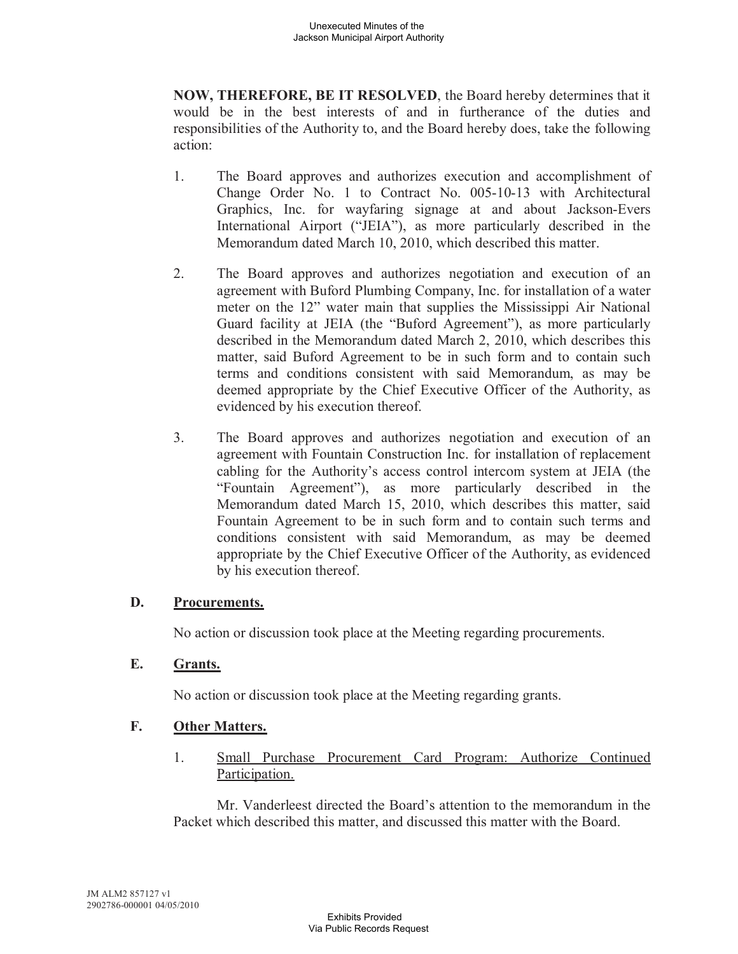**NOW, THEREFORE, BE IT RESOLVED**, the Board hereby determines that it would be in the best interests of and in furtherance of the duties and responsibilities of the Authority to, and the Board hereby does, take the following action:

- 1. The Board approves and authorizes execution and accomplishment of Change Order No. 1 to Contract No. 005-10-13 with Architectural Graphics, Inc. for wayfaring signage at and about Jackson-Evers International Airport ("JEIA"), as more particularly described in the Memorandum dated March 10, 2010, which described this matter.
- 2. The Board approves and authorizes negotiation and execution of an agreement with Buford Plumbing Company, Inc. for installation of a water meter on the 12" water main that supplies the Mississippi Air National Guard facility at JEIA (the "Buford Agreement"), as more particularly described in the Memorandum dated March 2, 2010, which describes this matter, said Buford Agreement to be in such form and to contain such terms and conditions consistent with said Memorandum, as may be deemed appropriate by the Chief Executive Officer of the Authority, as evidenced by his execution thereof.
- 3. The Board approves and authorizes negotiation and execution of an agreement with Fountain Construction Inc. for installation of replacement cabling for the Authority's access control intercom system at JEIA (the "Fountain Agreement"), as more particularly described in the Memorandum dated March 15, 2010, which describes this matter, said Fountain Agreement to be in such form and to contain such terms and conditions consistent with said Memorandum, as may be deemed appropriate by the Chief Executive Officer of the Authority, as evidenced by his execution thereof.

# **D. Procurements.**

No action or discussion took place at the Meeting regarding procurements.

# **E. Grants.**

No action or discussion took place at the Meeting regarding grants.

# **F. Other Matters.**

1. Small Purchase Procurement Card Program: Authorize Continued Participation.

Mr. Vanderleest directed the Board's attention to the memorandum in the Packet which described this matter, and discussed this matter with the Board.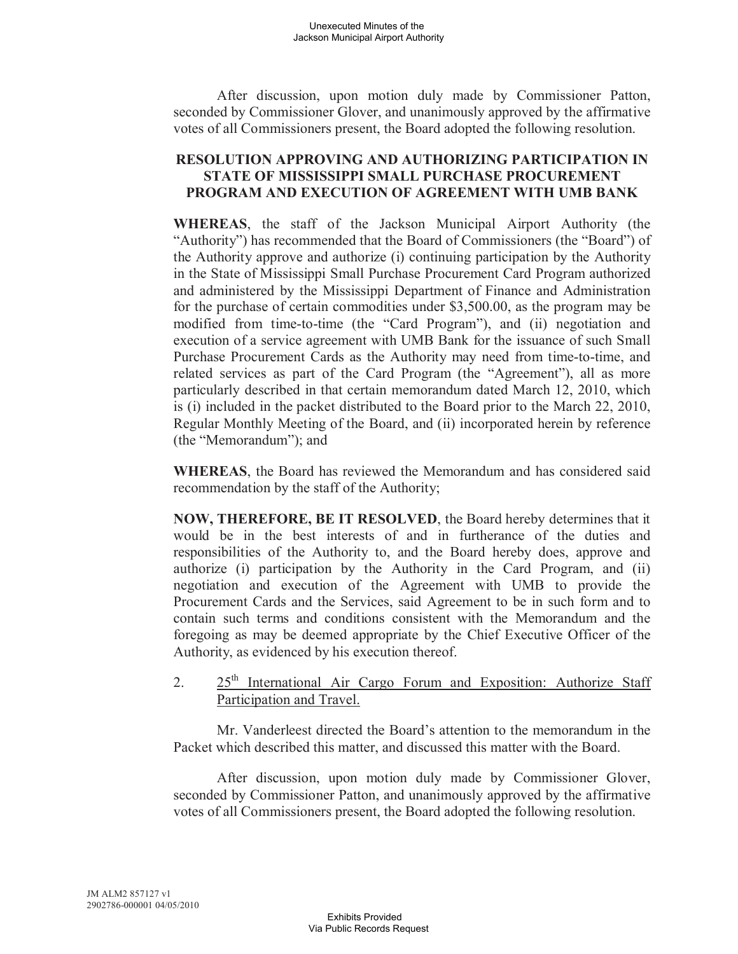After discussion, upon motion duly made by Commissioner Patton, seconded by Commissioner Glover, and unanimously approved by the affirmative votes of all Commissioners present, the Board adopted the following resolution.

# **RESOLUTION APPROVING AND AUTHORIZING PARTICIPATION IN STATE OF MISSISSIPPI SMALL PURCHASE PROCUREMENT PROGRAM AND EXECUTION OF AGREEMENT WITH UMB BANK**

**WHEREAS**, the staff of the Jackson Municipal Airport Authority (the "Authority") has recommended that the Board of Commissioners (the "Board") of the Authority approve and authorize (i) continuing participation by the Authority in the State of Mississippi Small Purchase Procurement Card Program authorized and administered by the Mississippi Department of Finance and Administration for the purchase of certain commodities under \$3,500.00, as the program may be modified from time-to-time (the "Card Program"), and (ii) negotiation and execution of a service agreement with UMB Bank for the issuance of such Small Purchase Procurement Cards as the Authority may need from time-to-time, and related services as part of the Card Program (the "Agreement"), all as more particularly described in that certain memorandum dated March 12, 2010, which is (i) included in the packet distributed to the Board prior to the March 22, 2010, Regular Monthly Meeting of the Board, and (ii) incorporated herein by reference (the "Memorandum"); and

**WHEREAS**, the Board has reviewed the Memorandum and has considered said recommendation by the staff of the Authority;

**NOW, THEREFORE, BE IT RESOLVED**, the Board hereby determines that it would be in the best interests of and in furtherance of the duties and responsibilities of the Authority to, and the Board hereby does, approve and authorize (i) participation by the Authority in the Card Program, and (ii) negotiation and execution of the Agreement with UMB to provide the Procurement Cards and the Services, said Agreement to be in such form and to contain such terms and conditions consistent with the Memorandum and the foregoing as may be deemed appropriate by the Chief Executive Officer of the Authority, as evidenced by his execution thereof.

2.  $25<sup>th</sup>$  International Air Cargo Forum and Exposition: Authorize Staff Participation and Travel.

Mr. Vanderleest directed the Board's attention to the memorandum in the Packet which described this matter, and discussed this matter with the Board.

After discussion, upon motion duly made by Commissioner Glover, seconded by Commissioner Patton, and unanimously approved by the affirmative votes of all Commissioners present, the Board adopted the following resolution.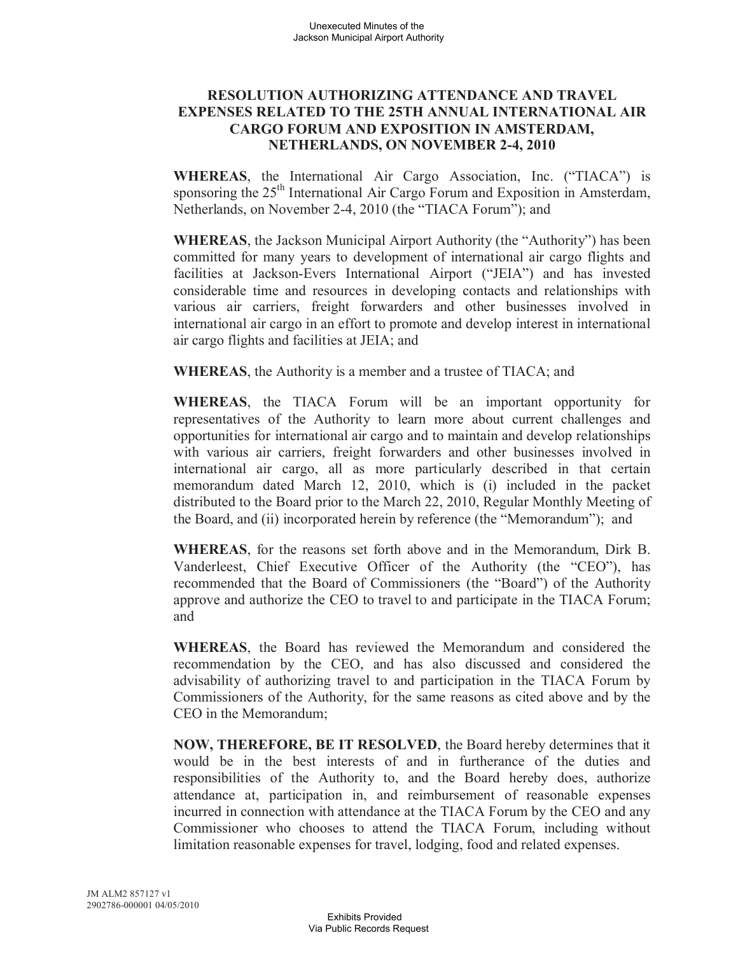## **RESOLUTION AUTHORIZING ATTENDANCE AND TRAVEL EXPENSES RELATED TO THE 25TH ANNUAL INTERNATIONAL AIR CARGO FORUM AND EXPOSITION IN AMSTERDAM, NETHERLANDS, ON NOVEMBER 2-4, 2010**

**WHEREAS**, the International Air Cargo Association, Inc. ("TIACA") is sponsoring the 25<sup>th</sup> International Air Cargo Forum and Exposition in Amsterdam, Netherlands, on November 2-4, 2010 (the "TIACA Forum"); and

**WHEREAS**, the Jackson Municipal Airport Authority (the "Authority") has been committed for many years to development of international air cargo flights and facilities at Jackson-Evers International Airport ("JEIA") and has invested considerable time and resources in developing contacts and relationships with various air carriers, freight forwarders and other businesses involved in international air cargo in an effort to promote and develop interest in international air cargo flights and facilities at JEIA; and

**WHEREAS**, the Authority is a member and a trustee of TIACA; and

**WHEREAS**, the TIACA Forum will be an important opportunity for representatives of the Authority to learn more about current challenges and opportunities for international air cargo and to maintain and develop relationships with various air carriers, freight forwarders and other businesses involved in international air cargo, all as more particularly described in that certain memorandum dated March 12, 2010, which is (i) included in the packet distributed to the Board prior to the March 22, 2010, Regular Monthly Meeting of the Board, and (ii) incorporated herein by reference (the "Memorandum"); and

**WHEREAS**, for the reasons set forth above and in the Memorandum, Dirk B. Vanderleest, Chief Executive Officer of the Authority (the "CEO"), has recommended that the Board of Commissioners (the "Board") of the Authority approve and authorize the CEO to travel to and participate in the TIACA Forum; and

**WHEREAS**, the Board has reviewed the Memorandum and considered the recommendation by the CEO, and has also discussed and considered the advisability of authorizing travel to and participation in the TIACA Forum by Commissioners of the Authority, for the same reasons as cited above and by the CEO in the Memorandum;

**NOW, THEREFORE, BE IT RESOLVED**, the Board hereby determines that it would be in the best interests of and in furtherance of the duties and responsibilities of the Authority to, and the Board hereby does, authorize attendance at, participation in, and reimbursement of reasonable expenses incurred in connection with attendance at the TIACA Forum by the CEO and any Commissioner who chooses to attend the TIACA Forum, including without limitation reasonable expenses for travel, lodging, food and related expenses.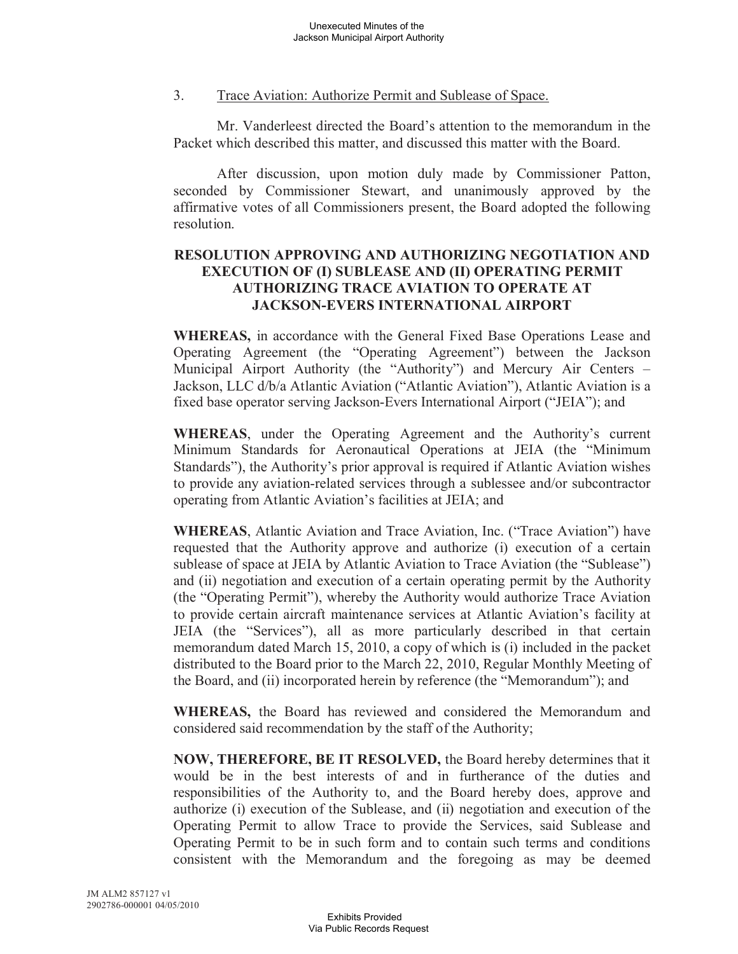#### 3. Trace Aviation: Authorize Permit and Sublease of Space.

Mr. Vanderleest directed the Board's attention to the memorandum in the Packet which described this matter, and discussed this matter with the Board.

After discussion, upon motion duly made by Commissioner Patton, seconded by Commissioner Stewart, and unanimously approved by the affirmative votes of all Commissioners present, the Board adopted the following resolution.

# **RESOLUTION APPROVING AND AUTHORIZING NEGOTIATION AND EXECUTION OF (I) SUBLEASE AND (II) OPERATING PERMIT AUTHORIZING TRACE AVIATION TO OPERATE AT JACKSON-EVERS INTERNATIONAL AIRPORT**

**WHEREAS,** in accordance with the General Fixed Base Operations Lease and Operating Agreement (the "Operating Agreement") between the Jackson Municipal Airport Authority (the "Authority") and Mercury Air Centers – Jackson, LLC d/b/a Atlantic Aviation ("Atlantic Aviation"), Atlantic Aviation is a fixed base operator serving Jackson-Evers International Airport ("JEIA"); and

**WHEREAS**, under the Operating Agreement and the Authority's current Minimum Standards for Aeronautical Operations at JEIA (the "Minimum Standards"), the Authority's prior approval is required if Atlantic Aviation wishes to provide any aviation-related services through a sublessee and/or subcontractor operating from Atlantic Aviation's facilities at JEIA; and

**WHEREAS**, Atlantic Aviation and Trace Aviation, Inc. ("Trace Aviation") have requested that the Authority approve and authorize (i) execution of a certain sublease of space at JEIA by Atlantic Aviation to Trace Aviation (the "Sublease") and (ii) negotiation and execution of a certain operating permit by the Authority (the "Operating Permit"), whereby the Authority would authorize Trace Aviation to provide certain aircraft maintenance services at Atlantic Aviation's facility at JEIA (the "Services"), all as more particularly described in that certain memorandum dated March 15, 2010, a copy of which is (i) included in the packet distributed to the Board prior to the March 22, 2010, Regular Monthly Meeting of the Board, and (ii) incorporated herein by reference (the "Memorandum"); and

**WHEREAS,** the Board has reviewed and considered the Memorandum and considered said recommendation by the staff of the Authority;

**NOW, THEREFORE, BE IT RESOLVED,** the Board hereby determines that it would be in the best interests of and in furtherance of the duties and responsibilities of the Authority to, and the Board hereby does, approve and authorize (i) execution of the Sublease, and (ii) negotiation and execution of the Operating Permit to allow Trace to provide the Services, said Sublease and Operating Permit to be in such form and to contain such terms and conditions consistent with the Memorandum and the foregoing as may be deemed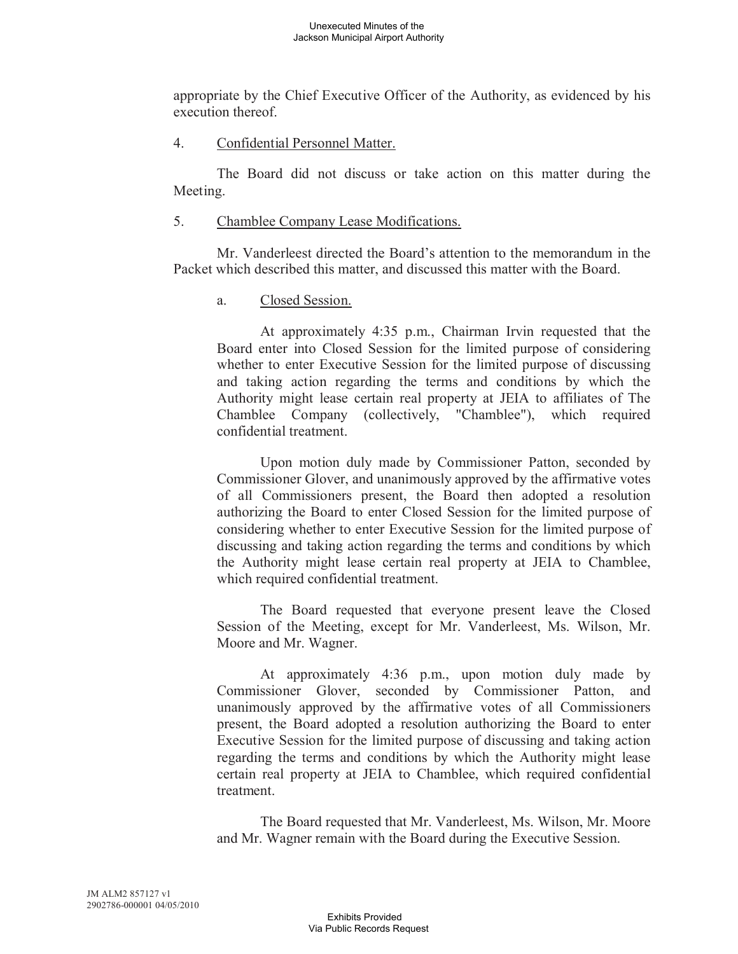appropriate by the Chief Executive Officer of the Authority, as evidenced by his execution thereof.

4. Confidential Personnel Matter.

The Board did not discuss or take action on this matter during the Meeting.

5. Chamblee Company Lease Modifications.

Mr. Vanderleest directed the Board's attention to the memorandum in the Packet which described this matter, and discussed this matter with the Board.

a. Closed Session.

At approximately 4:35 p.m., Chairman Irvin requested that the Board enter into Closed Session for the limited purpose of considering whether to enter Executive Session for the limited purpose of discussing and taking action regarding the terms and conditions by which the Authority might lease certain real property at JEIA to affiliates of The Chamblee Company (collectively, "Chamblee"), which required confidential treatment.

Upon motion duly made by Commissioner Patton, seconded by Commissioner Glover, and unanimously approved by the affirmative votes of all Commissioners present, the Board then adopted a resolution authorizing the Board to enter Closed Session for the limited purpose of considering whether to enter Executive Session for the limited purpose of discussing and taking action regarding the terms and conditions by which the Authority might lease certain real property at JEIA to Chamblee, which required confidential treatment.

The Board requested that everyone present leave the Closed Session of the Meeting, except for Mr. Vanderleest, Ms. Wilson, Mr. Moore and Mr. Wagner.

At approximately 4:36 p.m., upon motion duly made by Commissioner Glover, seconded by Commissioner Patton, and unanimously approved by the affirmative votes of all Commissioners present, the Board adopted a resolution authorizing the Board to enter Executive Session for the limited purpose of discussing and taking action regarding the terms and conditions by which the Authority might lease certain real property at JEIA to Chamblee, which required confidential treatment.

The Board requested that Mr. Vanderleest, Ms. Wilson, Mr. Moore and Mr. Wagner remain with the Board during the Executive Session.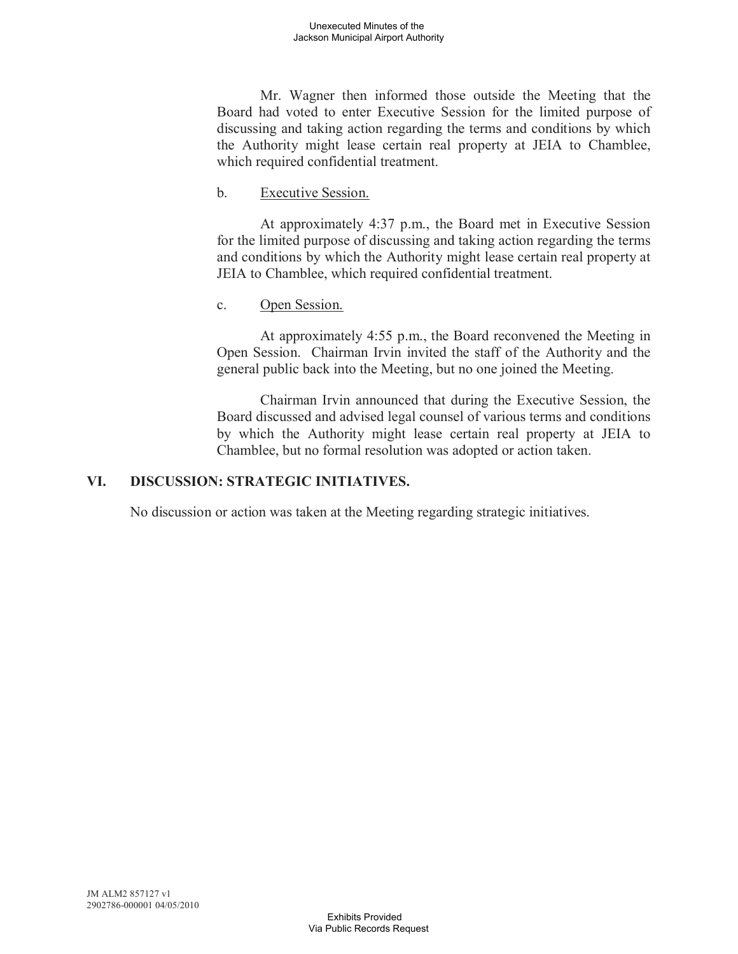Mr. Wagner then informed those outside the Meeting that the Board had voted to enter Executive Session for the limited purpose of discussing and taking action regarding the terms and conditions by which the Authority might lease certain real property at JEIA to Chamblee, which required confidential treatment.

b. Executive Session.

At approximately 4:37 p.m., the Board met in Executive Session for the limited purpose of discussing and taking action regarding the terms and conditions by which the Authority might lease certain real property at JEIA to Chamblee, which required confidential treatment.

c. Open Session.

At approximately 4:55 p.m., the Board reconvened the Meeting in Open Session. Chairman Irvin invited the staff of the Authority and the general public back into the Meeting, but no one joined the Meeting.

Chairman Irvin announced that during the Executive Session, the Board discussed and advised legal counsel of various terms and conditions by which the Authority might lease certain real property at JEIA to Chamblee, but no formal resolution was adopted or action taken.

# **VI. DISCUSSION: STRATEGIC INITIATIVES.**

No discussion or action was taken at the Meeting regarding strategic initiatives.